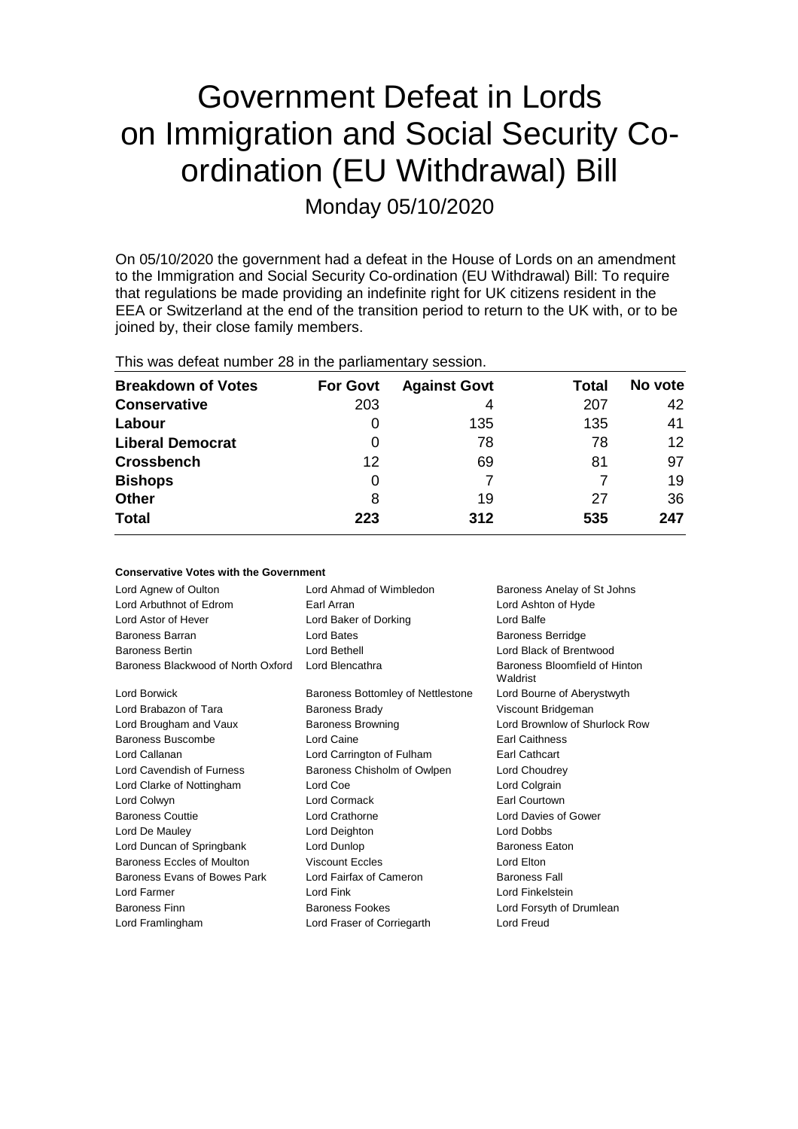# Government Defeat in Lords on Immigration and Social Security Coordination (EU Withdrawal) Bill

Monday 05/10/2020

On 05/10/2020 the government had a defeat in the House of Lords on an amendment to the Immigration and Social Security Co-ordination (EU Withdrawal) Bill: To require that regulations be made providing an indefinite right for UK citizens resident in the EEA or Switzerland at the end of the transition period to return to the UK with, or to be joined by, their close family members.

| This was defeat number 28 in the parliamentary session. |                 |                     |       |                 |  |  |
|---------------------------------------------------------|-----------------|---------------------|-------|-----------------|--|--|
| <b>Breakdown of Votes</b>                               | <b>For Govt</b> | <b>Against Govt</b> | Total | No vote         |  |  |
| <b>Conservative</b>                                     | 203             | 4                   | 207   | 42              |  |  |
| Labour                                                  | 0               | 135                 | 135   | 41              |  |  |
| <b>Liberal Democrat</b>                                 | 0               | 78                  | 78    | 12 <sup>2</sup> |  |  |
| Crossbench                                              | 12              | 69                  | 81    | 97              |  |  |
| <b>Bishops</b>                                          | 0               |                     |       | 19              |  |  |
| Other                                                   | 8               | 19                  | 27    | 36              |  |  |
| Total                                                   | 223             | 312                 | 535   | 247             |  |  |
|                                                         |                 |                     |       |                 |  |  |

This was defeat number 28 in the parliamentary session.

| <b>Conservative Votes with the Government</b> |                                   |                                           |  |  |  |  |
|-----------------------------------------------|-----------------------------------|-------------------------------------------|--|--|--|--|
| Lord Agnew of Oulton                          | Lord Ahmad of Wimbledon           | Baroness Anelay of St Johns               |  |  |  |  |
| Lord Arbuthnot of Edrom                       | Earl Arran                        | Lord Ashton of Hyde                       |  |  |  |  |
| Lord Astor of Hever                           | Lord Baker of Dorking             | Lord Balfe                                |  |  |  |  |
| Baroness Barran                               | Lord Bates                        | <b>Baroness Berridge</b>                  |  |  |  |  |
| <b>Baroness Bertin</b>                        | Lord Bethell                      | Lord Black of Brentwood                   |  |  |  |  |
| Baroness Blackwood of North Oxford            | Lord Blencathra                   | Baroness Bloomfield of Hinton<br>Waldrist |  |  |  |  |
| Lord Borwick                                  | Baroness Bottomley of Nettlestone | Lord Bourne of Aberystwyth                |  |  |  |  |
| Lord Brabazon of Tara                         | <b>Baroness Brady</b>             | Viscount Bridgeman                        |  |  |  |  |
| Lord Brougham and Vaux                        | <b>Baroness Browning</b>          | Lord Brownlow of Shurlock Row             |  |  |  |  |
| Baroness Buscombe                             | Lord Caine                        | <b>Earl Caithness</b>                     |  |  |  |  |
| Lord Callanan                                 | Lord Carrington of Fulham         | <b>Earl Cathcart</b>                      |  |  |  |  |
| Lord Cavendish of Furness                     | Baroness Chisholm of Owlpen       | Lord Choudrey                             |  |  |  |  |
| Lord Clarke of Nottingham                     | Lord Coe                          | Lord Colgrain                             |  |  |  |  |
| Lord Colwyn                                   | Lord Cormack                      | Earl Courtown                             |  |  |  |  |
| <b>Baroness Couttie</b>                       | Lord Crathorne                    | Lord Davies of Gower                      |  |  |  |  |
| Lord De Mauley                                | Lord Deighton                     | Lord Dobbs                                |  |  |  |  |
| Lord Duncan of Springbank                     | Lord Dunlop                       | <b>Baroness Eaton</b>                     |  |  |  |  |
| Baroness Eccles of Moulton                    | <b>Viscount Eccles</b>            | Lord Elton                                |  |  |  |  |
| Baroness Evans of Bowes Park                  | Lord Fairfax of Cameron           | <b>Baroness Fall</b>                      |  |  |  |  |
| Lord Farmer                                   | Lord Fink                         | Lord Finkelstein                          |  |  |  |  |
| <b>Baroness Finn</b>                          | <b>Baroness Fookes</b>            | Lord Forsyth of Drumlean                  |  |  |  |  |
| Lord Framlingham                              | Lord Fraser of Corriegarth        | <b>Lord Freud</b>                         |  |  |  |  |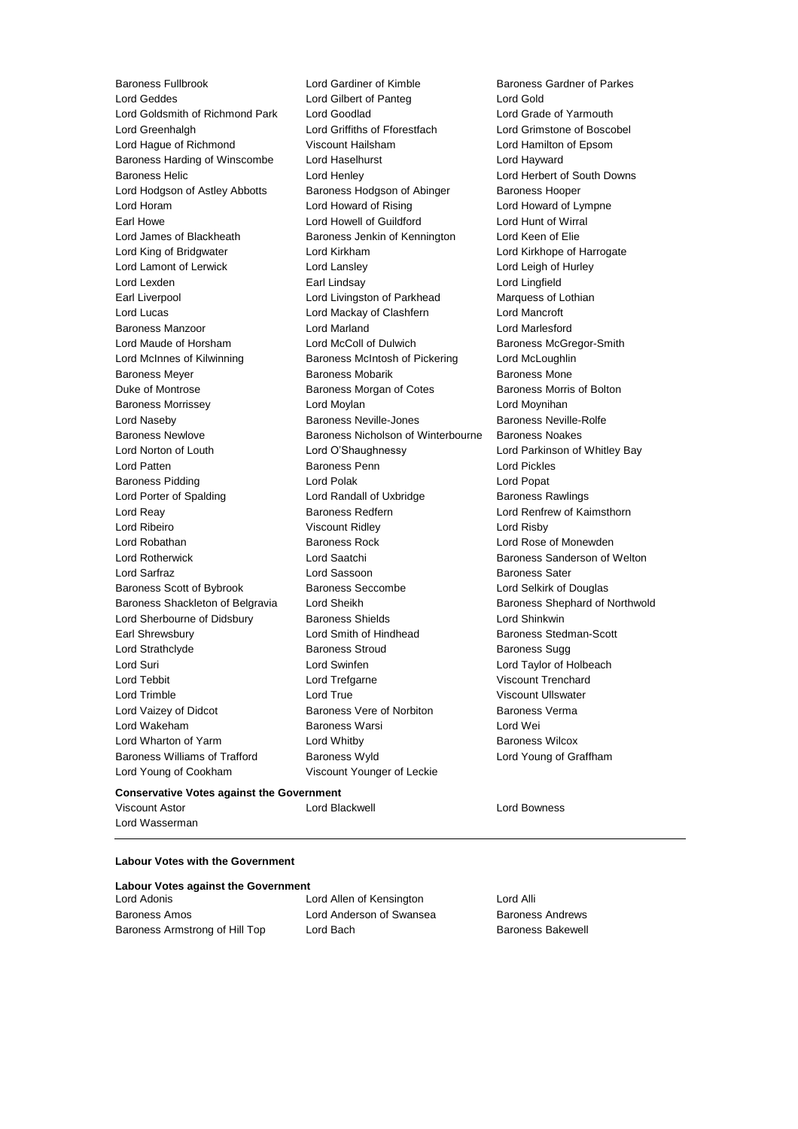Lord Geddes Lord Gilbert of Panteg Lord Gold Lord Goldsmith of Richmond Park Lord Goodlad Lord Grade of Yarmouth Lord Greenhalgh Lord Griffiths of Fforestfach Lord Grimstone of Boscobel Lord Hague of Richmond Viscount Hailsham Lord Hamilton of Epsom Baroness Harding of Winscombe Lord Haselhurst Lord Hayward Baroness Helic Lord Henley Lord Herbert of South Downs Lord Hodgson of Astley Abbotts Baroness Hodgson of Abinger Baroness Hooper Lord Horam Lord Howard of Rising Lord Howard of Lympne Earl Howe Lord Howell of Guildford Lord Hunt of Wirral Lord James of Blackheath Baroness Jenkin of Kennington Lord Keen of Elie Lord King of Bridgwater **Lord Kirkham Lord Kirkham Lord Kirkhope of Harrogate** Lord Lamont of Lerwick Lord Lansley Lord Leigh of Hurley Lord Lexden Earl Lindsay Lord Lingfield Earl Liverpool **Lord Livingston of Parkhead** Marquess of Lothian Lord Lucas Lord Mackay of Clashfern Lord Mancroft Baroness Manzoor Lord Marland Lord Marlesford Lord Maude of Horsham **Lord McColl of Dulwich** Baroness McGregor-Smith Lord McInnes of Kilwinning Baroness McIntosh of Pickering Lord McLoughlin Baroness Meyer **Baroness Mobarik** Baroness Mobarik Baroness Mone Duke of Montrose Baroness Morgan of Cotes Baroness Morris of Bolton Baroness Morrissey **Lord Moylan** Lord Moylan Lord Moynihan Lord Naseby Baroness Neville-Jones Baroness Neville-Rolfe Baroness Newlove **Baroness Nicholson of Winterbourne** Baroness Noakes Lord Norton of Louth Lord O'Shaughnessy Lord Parkinson of Whitley Bay Lord Patten Baroness Penn Lord Pickles Baroness Pidding Lord Polak Lord Popat Lord Porter of Spalding **Lord Randall of Uxbridge Baroness Rawlings** Lord Reay **Baroness Redfern Baroness Redfern Lord Renfrew of Kaimsthorn** Lord Ribeiro Viscount Ridley Lord Risby Lord Robathan Baroness Rock Lord Rose of Monewden Lord Rotherwick **Lord Saatchi** Baroness Sanderson of Welton Lord Sarfraz **Lord Sassoon** Baroness Sater Baroness Scott of Bybrook Baroness Seccombe Lord Selkirk of Douglas Baroness Shackleton of Belgravia Lord Sheikh Baroness Shephard of Northwold Lord Sherbourne of Didsbury Baroness Shields Lord Shinkwin Earl Shrewsbury **Earl Shrewsbury** Lord Smith of Hindhead **Baroness** Stedman-Scott Lord Strathclyde **Baroness Stroud** Baroness Stroud Baroness Sugg Lord Suri Lord Swinfen Lord Taylor of Holbeach Lord Tebbit Lord Trefgarne Viscount Trenchard Lord Trimble Lord True Viscount Ullswater Lord Vaizey of Didcot **Baroness Vere of Norbiton** Baroness Verma Lord Wakeham **Baroness Warsi** Baroness Warsi **Lord Wei** Lord Wharton of Yarm Lord Whitby Baroness Wilcox Baroness Williams of Trafford Baroness Wyld Lord Young of Graffham Lord Young of Cookham Viscount Younger of Leckie

Baroness Fullbrook Lord Gardiner of Kimble Baroness Gardner of Parkes

## **Conservative Votes against the Government**

Viscount Astor Lord Blackwell Lord Bowness Lord Wasserman

## **Labour Votes with the Government**

|  |  |  |  | <b>Labour Votes against the Government</b> |
|--|--|--|--|--------------------------------------------|
|--|--|--|--|--------------------------------------------|

Baroness Amos **Lord Anderson of Swansea** Baroness Andrews Baroness Armstrong of Hill Top Lord Bach Baroness Bakewell

Lord Adonis Lord Allen of Kensington Lord Alli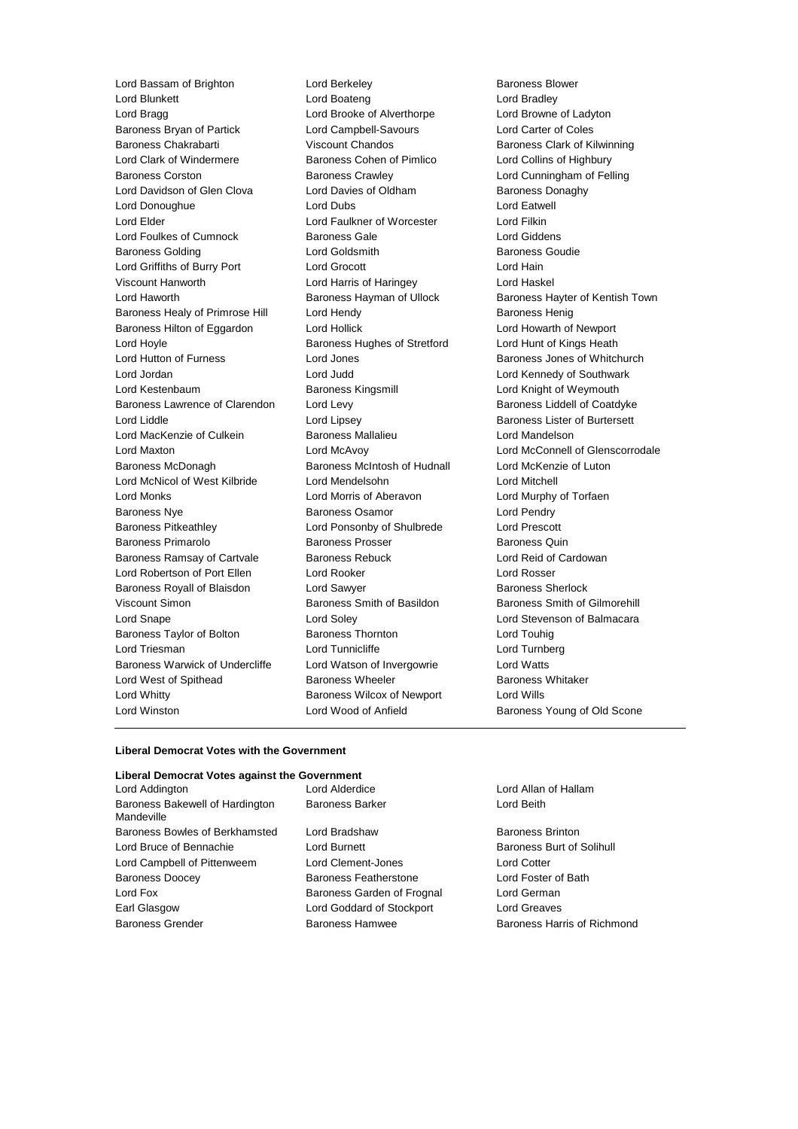Lord Bassam of Brighton **Lord Berkeley Baroness Blower** Baroness Blower Lord Blunkett Lord Boateng Lord Bradley Lord Bragg Lord Brooke of Alverthorpe Lord Browne of Ladyton Baroness Bryan of Partick Lord Campbell-Savours Lord Carter of Coles Baroness Chakrabarti Viscount Chandos Baroness Clark of Kilwinning Lord Clark of Windermere **Baroness Cohen of Pimlico** Lord Collins of Highbury Baroness Corston **Baroness Crawley** Lord Cunningham of Felling Lord Davidson of Glen Clova Lord Davies of Oldham Baroness Donaghy Lord Donoughue **Lord Dubs** Lord Dubs Lord Eatwell Lord Elder Lord Faulkner of Worcester Lord Filkin Lord Foulkes of Cumnock Baroness Gale Lord Giddens Baroness Golding Lord Goldsmith Baroness Goudie Lord Griffiths of Burry Port Lord Grocott Lord Hain Viscount Hanworth Lord Harris of Haringey Lord Haskel Lord Haworth **Baroness Hayman of Ullock** Baroness Hayter of Kentish Town Baroness Healy of Primrose Hill Lord Hendy **Baroness Henig** Baroness Henig Baroness Hilton of Eggardon Lord Hollick Lord Howarth of Newport Lord Hoyle **Baroness Hughes of Stretford** Lord Hunt of Kings Heath Lord Hunt of Kings Heath Lord Hutton of Furness **Lord Jones** Cord Jones **Baroness Jones of Whitchurch** Lord Jordan Lord Judd Lord Kennedy of Southwark Lord Kestenbaum Baroness Kingsmill Lord Knight of Weymouth Baroness Lawrence of Clarendon Lord Levy **Baroness Lawrence of Clarendon** Lord Levy **Baroness Liddell of Coatdyke** Lord Liddle Lord Lipsey Baroness Lister of Burtersett Lord MacKenzie of Culkein Baroness Mallalieu Lord Mandelson Lord Maxton Lord McAvoy Lord McConnell of Glenscorrodale Baroness McDonagh Baroness McIntosh of Hudnall Lord McKenzie of Luton Lord McNicol of West Kilbride Lord Mendelsohn Lord Mitchell Lord Monks Lord Morris of Aberavon Lord Murphy of Torfaen Baroness Nye Baroness Osamor Lord Pendry Baroness Pitkeathley Lord Ponsonby of Shulbrede Lord Prescott Baroness Primarolo **Baroness Prosser** Baroness Baroness Quin Baroness Ramsay of Cartvale Baroness Rebuck Lord Reid of Cardowan Lord Robertson of Port Ellen Lord Rooker Lord Rosser Baroness Royall of Blaisdon Lord Sawyer **Baroness Sherlock** Baroness Sherlock Viscount Simon **Baroness Smith of Basildon** Baroness Smith of Gilmorehill Lord Snape Lord Soley Lord Stevenson of Balmacara Baroness Taylor of Bolton **Baroness Thornton** Baroness Thornton Lord Touhig Lord Triesman **Lord Tunnicliffe** Lord Tunnicliffe Lord Turnberg Baroness Warwick of Undercliffe Lord Watson of Invergowrie Lord Watts Lord West of Spithead **Baroness Wheeler** Baroness Whitaker Lord Whitty **Baroness Wilcox of Newport** Lord Wills Lord Winston Lord Wood of Anfield Baroness Young of Old Scone

### **Liberal Democrat Votes with the Government**

## **Liberal Democrat Votes against the Government**

| Lord Addington                                |
|-----------------------------------------------|
| Baroness Bakewell of Hardington<br>Mandeville |
| Baroness Bowles of Berkhamsted                |
| Lord Bruce of Bennachie                       |
| Lord Campbell of Pittenweem                   |
| <b>Baroness Doocey</b>                        |
| Lord Fox                                      |
| Earl Glasgow                                  |
| <b>Baroness Grender</b>                       |

Baroness Barker **Lord Beith** Lord Bradshaw Baroness Brinton Lord Burnett **Baroness Burt of Solihull** Lord Clement-Jones Lord Cotter Baroness Featherstone **Lord Foster of Bath** Baroness Garden of Frognal Lord German Lord Goddard of Stockport Lord Greaves

Lord Alderdice **Lord Allan of Hallam** 

Baroness Hamwee Baroness Harris of Richmond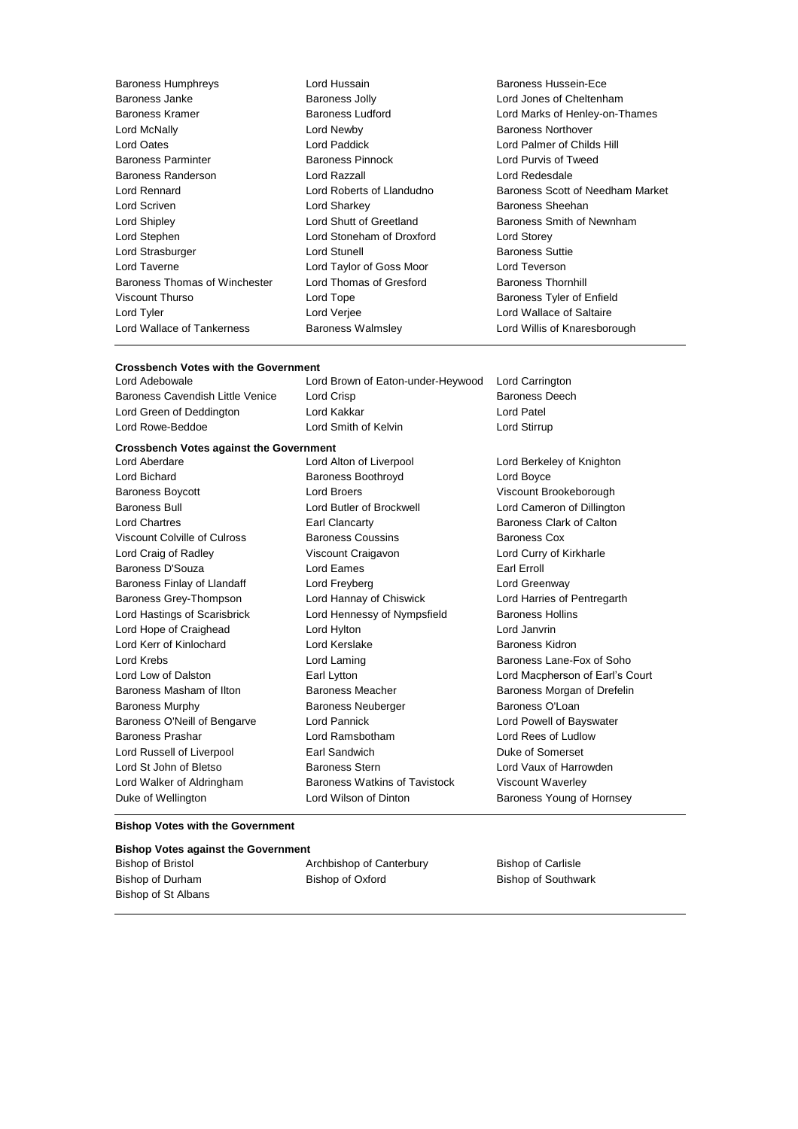Baroness Humphreys **Example 2** Lord Hussain **Baroness Hussein-Ece**<br>Baroness Janke **Baroness Hussain Baroness Jolly** Lord Jones of Cheltenh Baroness Janke Baroness Jolly Lord Jones of Cheltenham Baroness Kramer Baroness Ludford Lord Marks of Henley-on-Thames Lord McNally Lord Newby Baroness Northover Lord Oates Lord Paddick Lord Palmer of Childs Hill Baroness Parminter Baroness Pinnock Lord Purvis of Tweed Baroness Randerson Lord Razzall Lord Redesdale Lord Rennard Lord Roberts of Llandudno Baroness Scott of Needham Market Lord Scriven **Lord Sharkey Constant Constant Lord Sharkey Baroness Sheehan** Lord Shipley **Lord Shutt of Greetland** Baroness Smith of Newnham Lord Stephen Lord Stoneham of Droxford Lord Storey Lord Strasburger **Lord Stunell** Baroness Suttie Lord Taverne Lord Taylor of Goss Moor Lord Teverson Baroness Thomas of Winchester Lord Thomas of Gresford Baroness Thornhill Viscount Thurso **Communist Constructs** Lord Tope **Baroness Tyler of Enfield** Lord Tyler Lord Verjee Lord Wallace of Saltaire Lord Wallace of Tankerness Baroness Walmsley Lord Willis of Knaresborough

## **Crossbench Votes with the Government**

Baroness Cavendish Little Venice Lord Crisp Baroness Deech Baroness Deech Lord Green of Deddington Lord Kakkar Lord Patel Lord Rowe-Beddoe **Lord Smith of Kelvin** Lord Stirrup

Lord Bichard Baroness Boothroyd Lord Boyce Baroness Boycott **Lord Broers** Communications Constant Brookeborough Baroness Bull Lord Butler of Brockwell Lord Cameron of Dillington Lord Chartres Earl Clancarty Baroness Clark of Calton Viscount Colville of Culross **Baroness Coussins** Baroness Cox Lord Craig of Radley Viscount Craigavon Lord Curry of Kirkharle Baroness D'Souza **Earl Excession Lord Eames** Earl Erroll Baroness Finlay of Llandaff Lord Freyberg Lord Greenway Baroness Grey-Thompson Lord Hannay of Chiswick Lord Harries of Pentregarth Lord Hastings of Scarisbrick **Lord Hennessy of Nympsfield** Baroness Hollins Lord Hope of Craighead Lord Hylton Lord Janvrin Lord Kerr of Kinlochard Lord Kerslake Baroness Kidron Lord Krebs **Lord Laming Lord Laming** Baroness Lane-Fox of Soho Baroness Masham of Ilton **Baroness Meacher Baroness Meacher** Baroness Morgan of Drefelin Baroness Murphy **Baroness Neuberger** Baroness O'Loan Baroness O'Neill of Bengarve Lord Pannick Lord Powell of Bayswater Baroness Prashar **Education Lord Ramsbotham Lord Rees of Ludlow** Lord Rees of Ludlow Lord Russell of Liverpool **Earl Sandwich** Earl Sandwich Duke of Somerset Lord St John of Bletso **Baroness Stern Baroness Stern** Lord Vaux of Harrowden Lord Walker of Aldringham Baroness Watkins of Tavistock Viscount Waverley

**Crossbench Votes against the Government** Lord Aberdare Lord Alton of Liverpool Lord Berkeley of Knighton Duke of Wellington **Lord Wilson of Dinton** Baroness Young of Hornsey

Lord Brown of Eaton-under-Heywood Lord Carrington

Lord Low of Dalston Earl Lytton Lord Macpherson of Earl's Court

## **Bishop Votes with the Government**

### **Bishop Votes against the Government**

| Bishop of Bristol   | Archbishop of Canterbury | <b>Bishop of Carlisle</b>  |
|---------------------|--------------------------|----------------------------|
| Bishop of Durham    | Bishop of Oxford         | <b>Bishop of Southwark</b> |
| Bishop of St Albans |                          |                            |